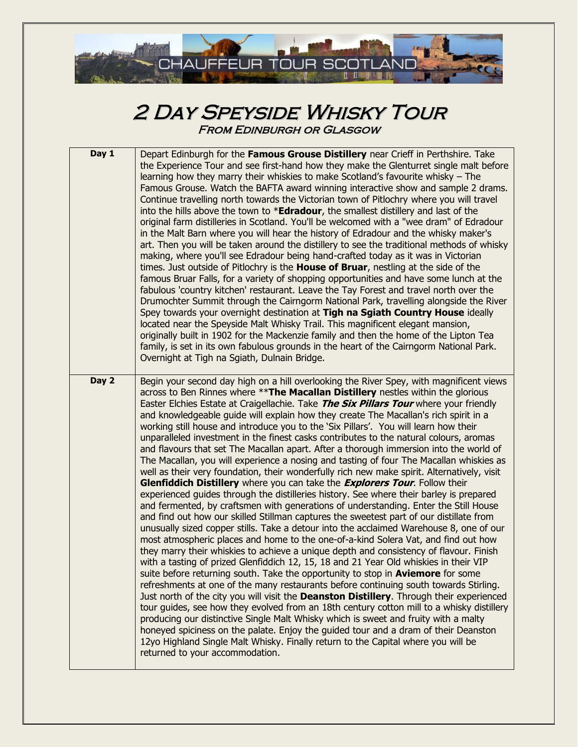

## 2 Day Speyside Whisky Tour From Edinburgh or Glasgow

| Day 1 | Depart Edinburgh for the Famous Grouse Distillery near Crieff in Perthshire. Take<br>the Experience Tour and see first-hand how they make the Glenturret single malt before<br>learning how they marry their whiskies to make Scotland's favourite whisky - The<br>Famous Grouse. Watch the BAFTA award winning interactive show and sample 2 drams.<br>Continue travelling north towards the Victorian town of Pitlochry where you will travel<br>into the hills above the town to * <b>Edradour</b> , the smallest distillery and last of the<br>original farm distilleries in Scotland. You'll be welcomed with a "wee dram" of Edradour<br>in the Malt Barn where you will hear the history of Edradour and the whisky maker's<br>art. Then you will be taken around the distillery to see the traditional methods of whisky<br>making, where you'll see Edradour being hand-crafted today as it was in Victorian<br>times. Just outside of Pitlochry is the House of Bruar, nestling at the side of the<br>famous Bruar Falls, for a variety of shopping opportunities and have some lunch at the<br>fabulous 'country kitchen' restaurant. Leave the Tay Forest and travel north over the<br>Drumochter Summit through the Cairngorm National Park, travelling alongside the River<br>Spey towards your overnight destination at Tigh na Sgiath Country House ideally<br>located near the Speyside Malt Whisky Trail. This magnificent elegant mansion,<br>originally built in 1902 for the Mackenzie family and then the home of the Lipton Tea<br>family, is set in its own fabulous grounds in the heart of the Cairngorm National Park.<br>Overnight at Tigh na Sgiath, Dulnain Bridge.                                                                                                                                                                                                                                                                                                                                                                                                                                                                                                                                                     |
|-------|-------------------------------------------------------------------------------------------------------------------------------------------------------------------------------------------------------------------------------------------------------------------------------------------------------------------------------------------------------------------------------------------------------------------------------------------------------------------------------------------------------------------------------------------------------------------------------------------------------------------------------------------------------------------------------------------------------------------------------------------------------------------------------------------------------------------------------------------------------------------------------------------------------------------------------------------------------------------------------------------------------------------------------------------------------------------------------------------------------------------------------------------------------------------------------------------------------------------------------------------------------------------------------------------------------------------------------------------------------------------------------------------------------------------------------------------------------------------------------------------------------------------------------------------------------------------------------------------------------------------------------------------------------------------------------------------------------------------------------------------------------------------------------------------------------------------------------------------------------------------------------------------------------------------------------------------------------------------------------------------------------------------------------------------------------------------------------------------------------------------------------------------------------------------------------------------------------------------------------------------------------|
| Day 2 | Begin your second day high on a hill overlooking the River Spey, with magnificent views<br>across to Ben Rinnes where **The Macallan Distillery nestles within the glorious<br>Easter Elchies Estate at Craigellachie. Take The Six Pillars Tour where your friendly<br>and knowledgeable guide will explain how they create The Macallan's rich spirit in a<br>working still house and introduce you to the 'Six Pillars'. You will learn how their<br>unparalleled investment in the finest casks contributes to the natural colours, aromas<br>and flavours that set The Macallan apart. After a thorough immersion into the world of<br>The Macallan, you will experience a nosing and tasting of four The Macallan whiskies as<br>well as their very foundation, their wonderfully rich new make spirit. Alternatively, visit<br>Glenfiddich Distillery where you can take the <i>Explorers Tour</i> . Follow their<br>experienced guides through the distilleries history. See where their barley is prepared<br>and fermented, by craftsmen with generations of understanding. Enter the Still House<br>and find out how our skilled Stillman captures the sweetest part of our distillate from<br>unusually sized copper stills. Take a detour into the acclaimed Warehouse 8, one of our<br>most atmospheric places and home to the one-of-a-kind Solera Vat, and find out how<br>they marry their whiskies to achieve a unique depth and consistency of flavour. Finish<br>with a tasting of prized Glenfiddich 12, 15, 18 and 21 Year Old whiskies in their VIP<br>suite before returning south. Take the opportunity to stop in Aviemore for some<br>refreshments at one of the many restaurants before continuing south towards Stirling.<br>Just north of the city you will visit the Deanston Distillery. Through their experienced<br>tour guides, see how they evolved from an 18th century cotton mill to a whisky distillery<br>producing our distinctive Single Malt Whisky which is sweet and fruity with a malty<br>honeyed spiciness on the palate. Enjoy the guided tour and a dram of their Deanston<br>12yo Highland Single Malt Whisky. Finally return to the Capital where you will be<br>returned to your accommodation. |